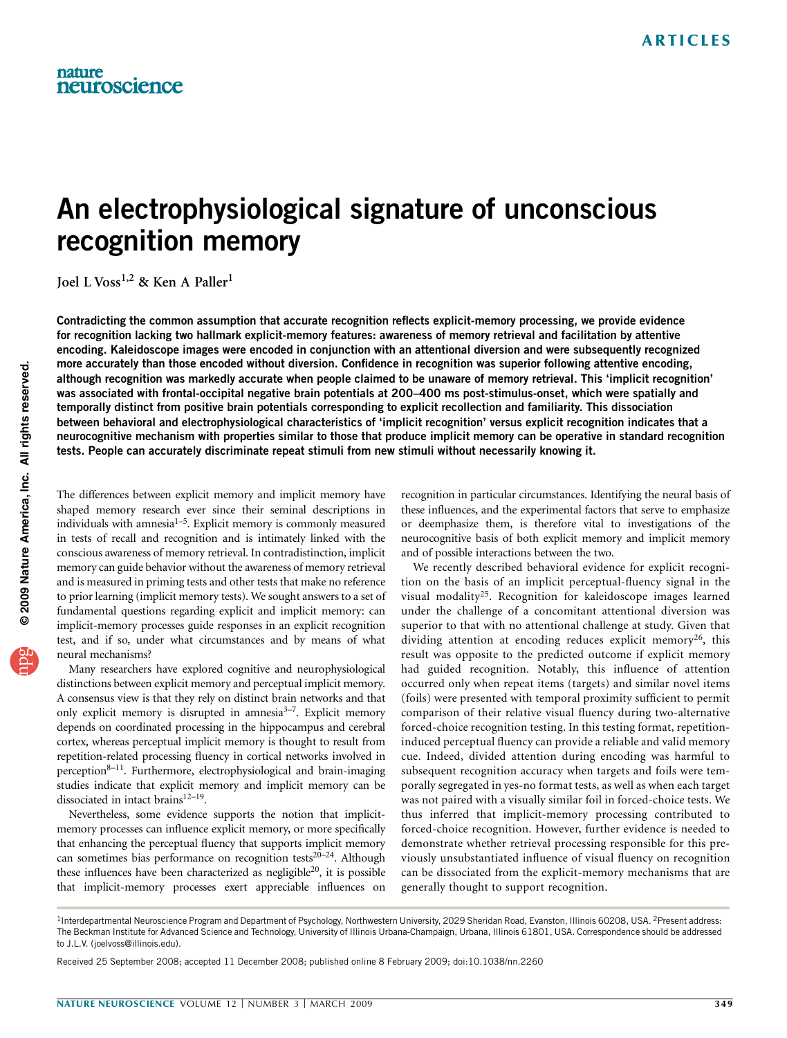# An electrophysiological signature of unconscious recognition memory

Joel L Voss<sup>1,2</sup> & Ken A Paller<sup>1</sup>

Contradicting the common assumption that accurate recognition reflects explicit-memory processing, we provide evidence for recognition lacking two hallmark explicit-memory features: awareness of memory retrieval and facilitation by attentive encoding. Kaleidoscope images were encoded in conjunction with an attentional diversion and were subsequently recognized more accurately than those encoded without diversion. Confidence in recognition was superior following attentive encoding, although recognition was markedly accurate when people claimed to be unaware of memory retrieval. This 'implicit recognition' was associated with frontal-occipital negative brain potentials at 200–400 ms post-stimulus-onset, which were spatially and temporally distinct from positive brain potentials corresponding to explicit recollection and familiarity. This dissociation between behavioral and electrophysiological characteristics of 'implicit recognition' versus explicit recognition indicates that a neurocognitive mechanism with properties similar to those that produce implicit memory can be operative in standard recognition tests. People can accurately discriminate repeat stimuli from new stimuli without necessarily knowing it.

The differences between explicit memory and implicit memory have shaped memory research ever since their seminal descriptions in individuals with amnesia $1-5$ . Explicit memory is commonly measured in tests of recall and recognition and is intimately linked with the conscious awareness of memory retrieval. In contradistinction, implicit memory can guide behavior without the awareness of memory retrieval and is measured in priming tests and other tests that make no reference to prior learning (implicit memory tests). We sought answers to a set of fundamental questions regarding explicit and implicit memory: can implicit-memory processes guide responses in an explicit recognition test, and if so, under what circumstances and by means of what neural mechanisms?

Many researchers have explored cognitive and neurophysiological distinctions between explicit memory and perceptual implicit memory. A consensus view is that they rely on distinct brain networks and that only explicit memory is disrupted in amnesi[a3–7.](#page-6-0) Explicit memory depends on coordinated processing in the hippocampus and cerebral cortex, whereas perceptual implicit memory is thought to result from repetition-related processing fluency in cortical networks involved in perception $8-11$ . Furthermore, electrophysiological and brain-imaging studies indicate that explicit memory and implicit memory can be dissociated in intact brains $12-19$ .

Nevertheless, some evidence supports the notion that implicitmemory processes can influence explicit memory, or more specifically that enhancing the perceptual fluency that supports implicit memory can sometimes bias performance on recognition tests<sup>20-24</sup>. Although these influences have been characterized as negligible<sup>20</sup>, it is possible that implicit-memory processes exert appreciable influences on recognition in particular circumstances. Identifying the neural basis of these influences, and the experimental factors that serve to emphasize or deemphasize them, is therefore vital to investigations of the neurocognitive basis of both explicit memory and implicit memory and of possible interactions between the two.

We recently described behavioral evidence for explicit recognition on the basis of an implicit perceptual-fluency signal in the visual modality<sup>[25](#page-6-0)</sup>. Recognition for kaleidoscope images learned under the challenge of a concomitant attentional diversion was superior to that with no attentional challenge at study. Given that dividing attention at encoding reduces explicit memory<sup>[26](#page-6-0)</sup>, this result was opposite to the predicted outcome if explicit memory had guided recognition. Notably, this influence of attention occurred only when repeat items (targets) and similar novel items (foils) were presented with temporal proximity sufficient to permit comparison of their relative visual fluency during two-alternative forced-choice recognition testing. In this testing format, repetitioninduced perceptual fluency can provide a reliable and valid memory cue. Indeed, divided attention during encoding was harmful to subsequent recognition accuracy when targets and foils were temporally segregated in yes-no format tests, as well as when each target was not paired with a visually similar foil in forced-choice tests. We thus inferred that implicit-memory processing contributed to forced-choice recognition. However, further evidence is needed to demonstrate whether retrieval processing responsible for this previously unsubstantiated influence of visual fluency on recognition can be dissociated from the explicit-memory mechanisms that are generally thought to support recognition.

<sup>&</sup>lt;sup>1</sup>Interdepartmental Neuroscience Program and Department of Psychology, Northwestern University, 2029 Sheridan Road, Evanston, Illinois 60208, USA. <sup>2</sup>Present address: The Beckman Institute for Advanced Science and Technology, University of Illinois Urbana-Champaign, Urbana, Illinois 61801, USA. Correspondence should be addressed to J.L.V. ([joelvoss@illinois.edu](mailto:joelvoss@illinois.edu)).

Received 25 September 2008; accepted 11 December 2008; published online 8 February 2009; [doi:10.1038/nn.2260](http://www.nature.com/doifinder/10.1038/nn.2260)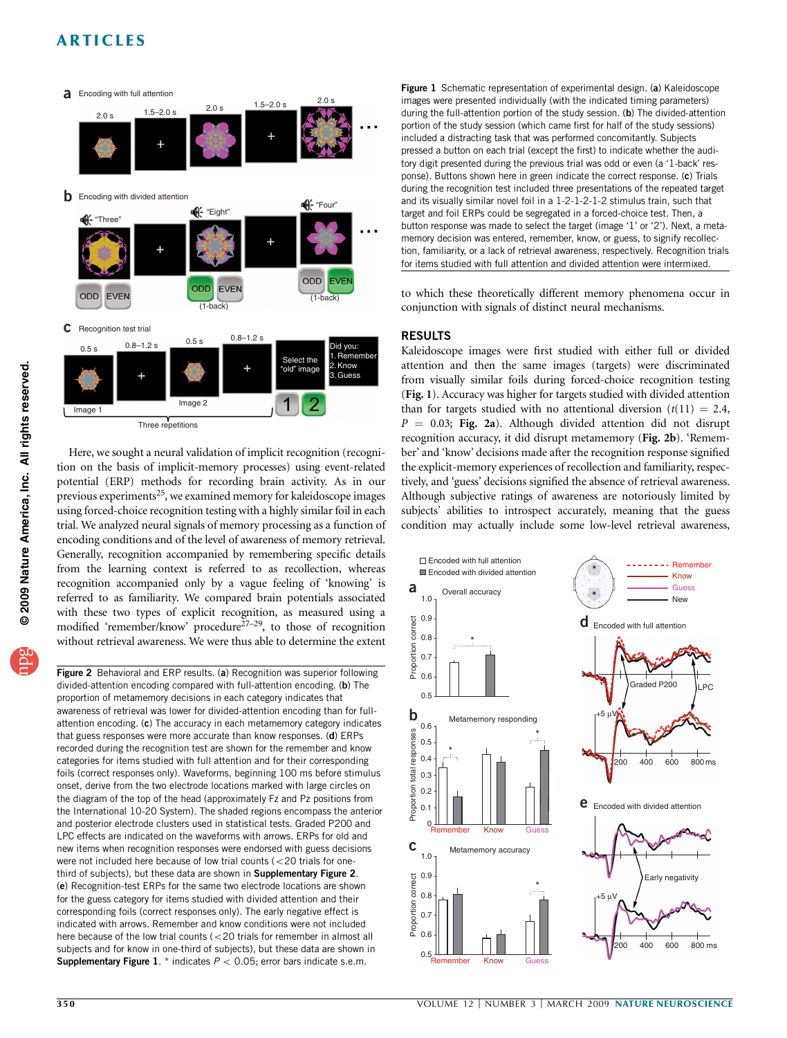

Here, we sought a neural validation of implicit recognition (recognition on the basis of implicit-memory processes) using event-related potential (ERP) methods for recording brain activity. As in our previous experiments<sup>25</sup>, we examined memory for kaleidoscope images using forced-choice recognition testing with a highly similar foil in each trial. We analyzed neural signals of memory processing as a function of encoding conditions and of the level of awareness of memory retrieval. Generally, recognition accompanied by remembering specific details from the learning context is referred to as recollection, whereas recognition accompanied only by a vague feeling of 'knowing' is referred to as familiarity. We compared brain potentials associated with these two types of explicit recognition, as measured using a modified 'remember/know' procedure<sup> $27-29$ </sup>, to those of recognition without retrieval awareness. We were thus able to determine the extent

Figure 2 Behavioral and ERP results. (a) Recognition was superior following divided-attention encoding compared with full-attention encoding. (b) The proportion of metamemory decisions in each category indicates that awareness of retrieval was lower for divided-attention encoding than for fullattention encoding. (c) The accuracy in each metamemory category indicates that guess responses were more accurate than know responses. (d) ERPs recorded during the recognition test are shown for the remember and know categories for items studied with full attention and for their corresponding foils (correct responses only). Waveforms, beginning 100 ms before stimulus onset, derive from the two electrode locations marked with large circles on the diagram of the top of the head (approximately Fz and Pz positions from the International 10-20 System). The shaded regions encompass the anterior and posterior electrode clusters used in statistical tests. Graded P200 and LPC effects are indicated on the waveforms with arrows. ERPs for old and new items when recognition responses were endorsed with guess decisions were not included here because of low trial counts ( $<$  20 trials for onethird of subjects), but these data are shown in Supplementary Figure 2. (e) Recognition-test ERPs for the same two electrode locations are shown for the guess category for items studied with divided attention and their corresponding foils (correct responses only). The early negative effect is indicated with arrows. Remember and know conditions were not included here because of the low trial counts ( $<$  20 trials for remember in almost all subjects and for know in one-third of subjects), but these data are shown in **Supplementary Figure 1.** \* indicates  $P < 0.05$ ; error bars indicate s.e.m.

Figure 1 Schematic representation of experimental design. (a) Kaleidoscope images were presented individually (with the indicated timing parameters) during the full-attention portion of the study session. (b) The divided-attention portion of the study session (which came first for half of the study sessions) included a distracting task that was performed concomitantly. Subjects pressed a button on each trial (except the first) to indicate whether the auditory digit presented during the previous trial was odd or even (a '1-back' response). Buttons shown here in green indicate the correct response. (c) Trials during the recognition test included three presentations of the repeated target and its visually similar novel foil in a 1-2-1-2-1-2 stimulus train, such that target and foil ERPs could be segregated in a forced-choice test. Then, a button response was made to select the target (image '1' or '2'). Next, a metamemory decision was entered, remember, know, or guess, to signify recollection, familiarity, or a lack of retrieval awareness, respectively. Recognition trials for items studied with full attention and divided attention were intermixed.

to which these theoretically different memory phenomena occur in conjunction with signals of distinct neural mechanisms.

## RESULTS

Kaleidoscope images were first studied with either full or divided attention and then the same images (targets) were discriminated from visually similar foils during forced-choice recognition testing (Fig. 1). Accuracy was higher for targets studied with divided attention than for targets studied with no attentional diversion  $(t(11) = 2.4$ ,  $P = 0.03$ ; Fig. 2a). Although divided attention did not disrupt recognition accuracy, it did disrupt metamemory (Fig. 2b). 'Remember' and 'know' decisions made after the recognition response signified the explicit-memory experiences of recollection and familiarity, respectively, and 'guess' decisions signified the absence of retrieval awareness. Although subjective ratings of awareness are notoriously limited by subjects' abilities to introspect accurately, meaning that the guess condition may actually include some low-level retrieval awareness,

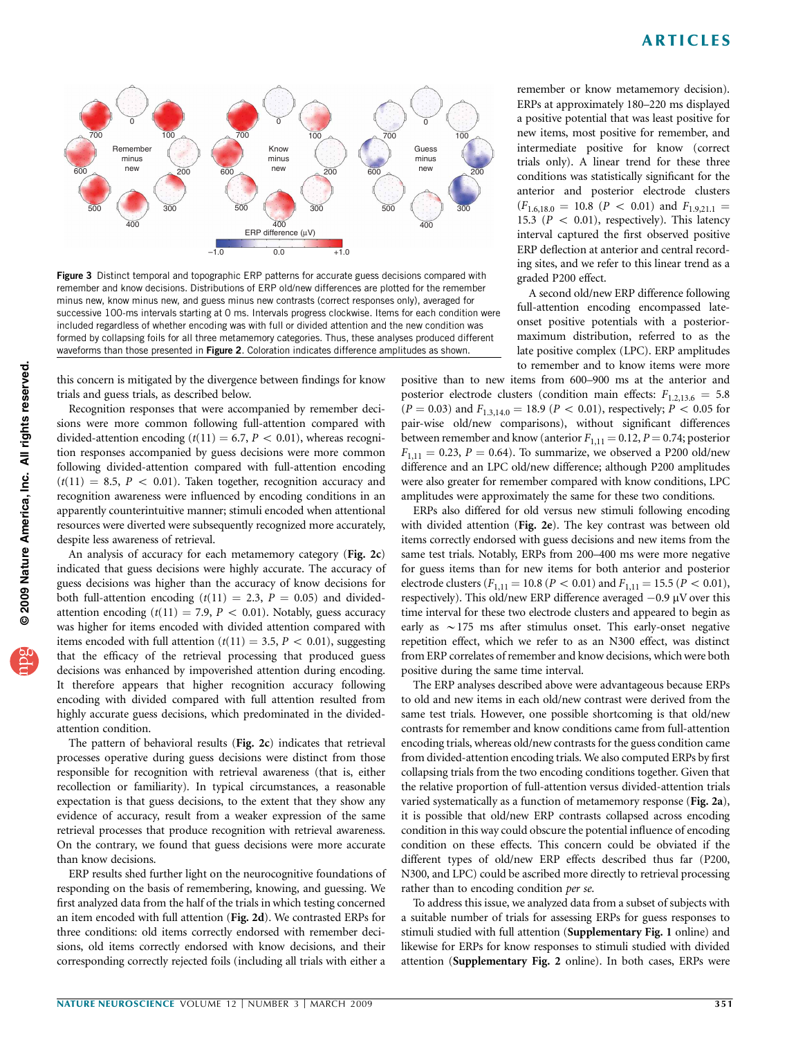

Figure 3 Distinct temporal and topographic ERP patterns for accurate guess decisions compared with remember and know decisions. Distributions of ERP old/new differences are plotted for the remember minus new, know minus new, and guess minus new contrasts (correct responses only), averaged for successive 100-ms intervals starting at 0 ms. Intervals progress clockwise. Items for each condition were included regardless of whether encoding was with full or divided attention and the new condition was formed by collapsing foils for all three metamemory categories. Thus, these analyses produced different waveforms than those presented in Figure 2. Coloration indicates difference amplitudes as shown.

this concern is mitigated by the divergence between findings for know trials and guess trials, as described below.

Recognition responses that were accompanied by remember decisions were more common following full-attention compared with divided-attention encoding  $(t(11) = 6.7, P < 0.01)$ , whereas recognition responses accompanied by guess decisions were more common following divided-attention compared with full-attention encoding  $(t(11) = 8.5, P < 0.01)$ . Taken together, recognition accuracy and recognition awareness were influenced by encoding conditions in an apparently counterintuitive manner; stimuli encoded when attentional resources were diverted were subsequently recognized more accurately, despite less awareness of retrieval.

An analysis of accuracy for each metamemory category (Fig. 2c) indicated that guess decisions were highly accurate. The accuracy of guess decisions was higher than the accuracy of know decisions for both full-attention encoding  $(t(11) = 2.3, P = 0.05)$  and dividedattention encoding  $(t(11) = 7.9, P < 0.01)$ . Notably, guess accuracy was higher for items encoded with divided attention compared with items encoded with full attention  $(t(11) = 3.5, P < 0.01)$ , suggesting that the efficacy of the retrieval processing that produced guess decisions was enhanced by impoverished attention during encoding. It therefore appears that higher recognition accuracy following encoding with divided compared with full attention resulted from highly accurate guess decisions, which predominated in the dividedattention condition.

The pattern of behavioral results (Fig. 2c) indicates that retrieval processes operative during guess decisions were distinct from those responsible for recognition with retrieval awareness (that is, either recollection or familiarity). In typical circumstances, a reasonable expectation is that guess decisions, to the extent that they show any evidence of accuracy, result from a weaker expression of the same retrieval processes that produce recognition with retrieval awareness. On the contrary, we found that guess decisions were more accurate than know decisions.

ERP results shed further light on the neurocognitive foundations of responding on the basis of remembering, knowing, and guessing. We first analyzed data from the half of the trials in which testing concerned an item encoded with full attention (Fig. 2d). We contrasted ERPs for three conditions: old items correctly endorsed with remember decisions, old items correctly endorsed with know decisions, and their corresponding correctly rejected foils (including all trials with either a

remember or know metamemory decision). ERPs at approximately 180–220 ms displayed a positive potential that was least positive for new items, most positive for remember, and intermediate positive for know (correct trials only). A linear trend for these three conditions was statistically significant for the anterior and posterior electrode clusters  $(F_{1.6,18.0} = 10.8$   $(P < 0.01)$  and  $F_{1.9,21.1} =$ 15.3 ( $P < 0.01$ ), respectively). This latency interval captured the first observed positive ERP deflection at anterior and central recording sites, and we refer to this linear trend as a graded P200 effect.

A second old/new ERP difference following full-attention encoding encompassed lateonset positive potentials with a posteriormaximum distribution, referred to as the late positive complex (LPC). ERP amplitudes to remember and to know items were more

positive than to new items from 600–900 ms at the anterior and posterior electrode clusters (condition main effects:  $F_{1,2,13,6} = 5.8$  $(P = 0.03)$  and  $F_{1.3,14.0} = 18.9 (P < 0.01)$ , respectively;  $P < 0.05$  for pair-wise old/new comparisons), without significant differences between remember and know (anterior  $F_{1,11} = 0.12$ ,  $P = 0.74$ ; posterior  $F_{1,11} = 0.23, P = 0.64$ . To summarize, we observed a P200 old/new difference and an LPC old/new difference; although P200 amplitudes were also greater for remember compared with know conditions, LPC amplitudes were approximately the same for these two conditions.

ERPs also differed for old versus new stimuli following encoding with divided attention (Fig. 2e). The key contrast was between old items correctly endorsed with guess decisions and new items from the same test trials. Notably, ERPs from 200–400 ms were more negative for guess items than for new items for both anterior and posterior electrode clusters ( $F_{1,11} = 10.8$  ( $P < 0.01$ ) and  $F_{1,11} = 15.5$  ( $P < 0.01$ ), respectively). This old/new ERP difference averaged  $-0.9 \mu V$  over this time interval for these two electrode clusters and appeared to begin as early as  $\sim$ 175 ms after stimulus onset. This early-onset negative repetition effect, which we refer to as an N300 effect, was distinct from ERP correlates of remember and know decisions, which were both positive during the same time interval.

The ERP analyses described above were advantageous because ERPs to old and new items in each old/new contrast were derived from the same test trials. However, one possible shortcoming is that old/new contrasts for remember and know conditions came from full-attention encoding trials, whereas old/new contrasts for the guess condition came from divided-attention encoding trials. We also computed ERPs by first collapsing trials from the two encoding conditions together. Given that the relative proportion of full-attention versus divided-attention trials varied systematically as a function of metamemory response (Fig. 2a), it is possible that old/new ERP contrasts collapsed across encoding condition in this way could obscure the potential influence of encoding condition on these effects. This concern could be obviated if the different types of old/new ERP effects described thus far (P200, N300, and LPC) could be ascribed more directly to retrieval processing rather than to encoding condition per se.

To address this issue, we analyzed data from a subset of subjects with a suitable number of trials for assessing ERPs for guess responses to stimuli studied with full attention (Supplementary Fig. 1 online) and likewise for ERPs for know responses to stimuli studied with divided attention (Supplementary Fig. 2 online). In both cases, ERPs were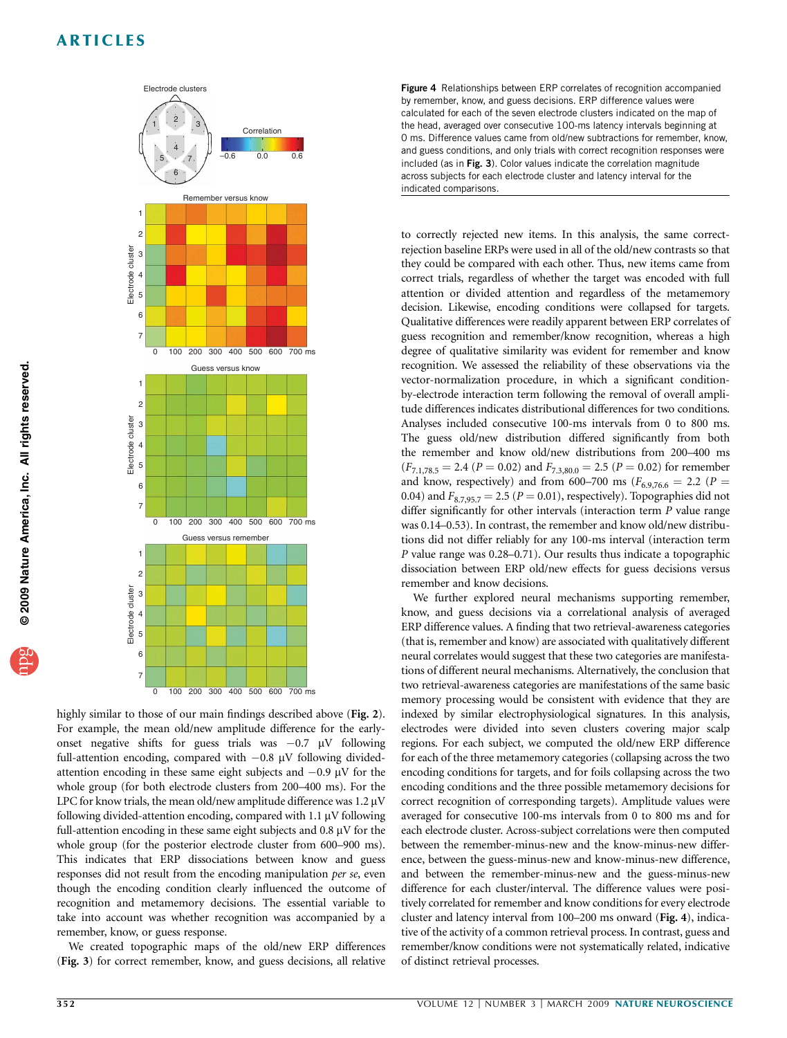

highly similar to those of our main findings described above (Fig. 2). For example, the mean old/new amplitude difference for the earlyonset negative shifts for guess trials was  $-0.7 \mu V$  following full-attention encoding, compared with  $-0.8 \mu V$  following dividedattention encoding in these same eight subjects and  $-0.9 \mu V$  for the whole group (for both electrode clusters from 200–400 ms). For the LPC for know trials, the mean old/new amplitude difference was  $1.2 \mu V$ following divided-attention encoding, compared with  $1.1 \mu V$  following full-attention encoding in these same eight subjects and 0.8  $\mu$ V for the whole group (for the posterior electrode cluster from 600–900 ms). This indicates that ERP dissociations between know and guess responses did not result from the encoding manipulation per se, even though the encoding condition clearly influenced the outcome of recognition and metamemory decisions. The essential variable to take into account was whether recognition was accompanied by a remember, know, or guess response.

We created topographic maps of the old/new ERP differences (Fig. 3) for correct remember, know, and guess decisions, all relative

Figure 4 Relationships between ERP correlates of recognition accompanied by remember, know, and guess decisions. ERP difference values were calculated for each of the seven electrode clusters indicated on the map of the head, averaged over consecutive 100-ms latency intervals beginning at 0 ms. Difference values came from old/new subtractions for remember, know, and guess conditions, and only trials with correct recognition responses were included (as in Fig. 3). Color values indicate the correlation magnitude across subjects for each electrode cluster and latency interval for the indicated comparisons.

to correctly rejected new items. In this analysis, the same correctrejection baseline ERPs were used in all of the old/new contrasts so that they could be compared with each other. Thus, new items came from correct trials, regardless of whether the target was encoded with full attention or divided attention and regardless of the metamemory decision. Likewise, encoding conditions were collapsed for targets. Qualitative differences were readily apparent between ERP correlates of guess recognition and remember/know recognition, whereas a high degree of qualitative similarity was evident for remember and know recognition. We assessed the reliability of these observations via the vector-normalization procedure, in which a significant conditionby-electrode interaction term following the removal of overall amplitude differences indicates distributional differences for two conditions. Analyses included consecutive 100-ms intervals from 0 to 800 ms. The guess old/new distribution differed significantly from both the remember and know old/new distributions from 200–400 ms  $(F_{7.1,78.5} = 2.4$  ( $P = 0.02$ ) and  $F_{7.3,80.0} = 2.5$  ( $P = 0.02$ ) for remember and know, respectively) and from 600–700 ms ( $F_{6.9,76.6} = 2.2$  ( $P =$ 0.04) and  $F_{8.7,95.7} = 2.5 (P = 0.01)$ , respectively). Topographies did not differ significantly for other intervals (interaction term P value range was 0.14–0.53). In contrast, the remember and know old/new distributions did not differ reliably for any 100-ms interval (interaction term P value range was 0.28–0.71). Our results thus indicate a topographic dissociation between ERP old/new effects for guess decisions versus remember and know decisions.

We further explored neural mechanisms supporting remember, know, and guess decisions via a correlational analysis of averaged ERP difference values. A finding that two retrieval-awareness categories (that is, remember and know) are associated with qualitatively different neural correlates would suggest that these two categories are manifestations of different neural mechanisms. Alternatively, the conclusion that two retrieval-awareness categories are manifestations of the same basic memory processing would be consistent with evidence that they are indexed by similar electrophysiological signatures. In this analysis, electrodes were divided into seven clusters covering major scalp regions. For each subject, we computed the old/new ERP difference for each of the three metamemory categories (collapsing across the two encoding conditions for targets, and for foils collapsing across the two encoding conditions and the three possible metamemory decisions for correct recognition of corresponding targets). Amplitude values were averaged for consecutive 100-ms intervals from 0 to 800 ms and for each electrode cluster. Across-subject correlations were then computed between the remember-minus-new and the know-minus-new difference, between the guess-minus-new and know-minus-new difference, and between the remember-minus-new and the guess-minus-new difference for each cluster/interval. The difference values were positively correlated for remember and know conditions for every electrode cluster and latency interval from 100–200 ms onward (Fig. 4), indicative of the activity of a common retrieval process. In contrast, guess and remember/know conditions were not systematically related, indicative of distinct retrieval processes.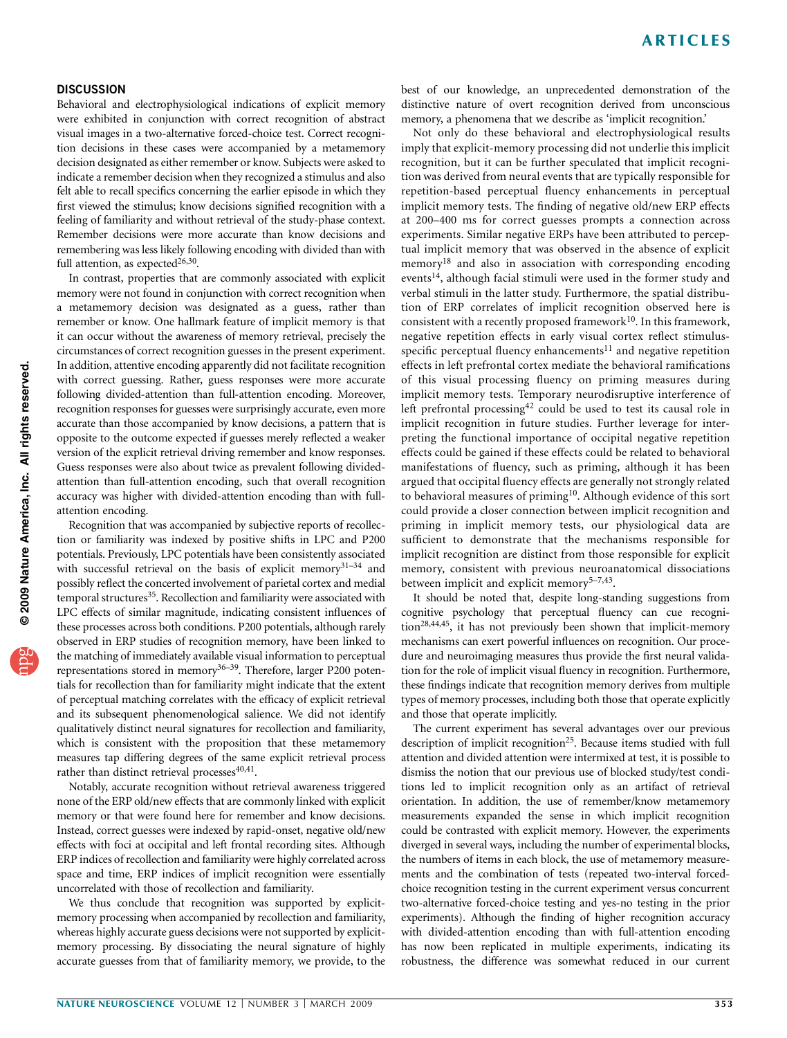### **DISCUSSION**

Behavioral and electrophysiological indications of explicit memory were exhibited in conjunction with correct recognition of abstract visual images in a two-alternative forced-choice test. Correct recognition decisions in these cases were accompanied by a metamemory decision designated as either remember or know. Subjects were asked to indicate a remember decision when they recognized a stimulus and also felt able to recall specifics concerning the earlier episode in which they first viewed the stimulus; know decisions signified recognition with a feeling of familiarity and without retrieval of the study-phase context. Remember decisions were more accurate than know decisions and remembering was less likely following encoding with divided than with full attention, as expected $26,30$ .

In contrast, properties that are commonly associated with explicit memory were not found in conjunction with correct recognition when a metamemory decision was designated as a guess, rather than remember or know. One hallmark feature of implicit memory is that it can occur without the awareness of memory retrieval, precisely the circumstances of correct recognition guesses in the present experiment. In addition, attentive encoding apparently did not facilitate recognition with correct guessing. Rather, guess responses were more accurate following divided-attention than full-attention encoding. Moreover, recognition responses for guesses were surprisingly accurate, even more accurate than those accompanied by know decisions, a pattern that is opposite to the outcome expected if guesses merely reflected a weaker version of the explicit retrieval driving remember and know responses. Guess responses were also about twice as prevalent following dividedattention than full-attention encoding, such that overall recognition accuracy was higher with divided-attention encoding than with fullattention encoding.

Recognition that was accompanied by subjective reports of recollection or familiarity was indexed by positive shifts in LPC and P200 potentials. Previously, LPC potentials have been consistently associated with successful retrieval on the basis of explicit memory $31-34$  and possibly reflect the concerted involvement of parietal cortex and medial temporal structures<sup>35</sup>. Recollection and familiarity were associated with LPC effects of similar magnitude, indicating consistent influences of these processes across both conditions. P200 potentials, although rarely observed in ERP studies of recognition memory, have been linked to the matching of immediately available visual information to perceptual representations stored in memory<sup>36–39</sup>. Therefore, larger P200 potentials for recollection than for familiarity might indicate that the extent of perceptual matching correlates with the efficacy of explicit retrieval and its subsequent phenomenological salience. We did not identify qualitatively distinct neural signatures for recollection and familiarity, which is consistent with the proposition that these metamemory measures tap differing degrees of the same explicit retrieval process rather than distinct retrieval processes<sup>[40,41](#page-6-0)</sup>.

Notably, accurate recognition without retrieval awareness triggered none of the ERP old/new effects that are commonly linked with explicit memory or that were found here for remember and know decisions. Instead, correct guesses were indexed by rapid-onset, negative old/new effects with foci at occipital and left frontal recording sites. Although ERP indices of recollection and familiarity were highly correlated across space and time, ERP indices of implicit recognition were essentially uncorrelated with those of recollection and familiarity.

We thus conclude that recognition was supported by explicitmemory processing when accompanied by recollection and familiarity, whereas highly accurate guess decisions were not supported by explicitmemory processing. By dissociating the neural signature of highly accurate guesses from that of familiarity memory, we provide, to the best of our knowledge, an unprecedented demonstration of the distinctive nature of overt recognition derived from unconscious memory, a phenomena that we describe as 'implicit recognition.'

Not only do these behavioral and electrophysiological results imply that explicit-memory processing did not underlie this implicit recognition, but it can be further speculated that implicit recognition was derived from neural events that are typically responsible for repetition-based perceptual fluency enhancements in perceptual implicit memory tests. The finding of negative old/new ERP effects at 200–400 ms for correct guesses prompts a connection across experiments. Similar negative ERPs have been attributed to perceptual implicit memory that was observed in the absence of explicit memory<sup>[18](#page-6-0)</sup> and also in association with corresponding encoding events<sup>[14](#page-6-0)</sup>, although facial stimuli were used in the former study and verbal stimuli in the latter study. Furthermore, the spatial distribution of ERP correlates of implicit recognition observed here is consistent with a recently proposed framework<sup>10</sup>. In this framework, negative repetition effects in early visual cortex reflect stimulus-specific perceptual fluency enhancements<sup>[11](#page-6-0)</sup> and negative repetition effects in left prefrontal cortex mediate the behavioral ramifications of this visual processing fluency on priming measures during implicit memory tests. Temporary neurodisruptive interference of left prefrontal processing<sup>[42](#page-6-0)</sup> could be used to test its causal role in implicit recognition in future studies. Further leverage for interpreting the functional importance of occipital negative repetition effects could be gained if these effects could be related to behavioral manifestations of fluency, such as priming, although it has been argued that occipital fluency effects are generally not strongly related to behavioral measures of priming<sup>10</sup>. Although evidence of this sort could provide a closer connection between implicit recognition and priming in implicit memory tests, our physiological data are sufficient to demonstrate that the mechanisms responsible for implicit recognition are distinct from those responsible for explicit memory, consistent with previous neuroanatomical dissociations between implicit and explicit memory<sup>5-7,43</sup>.

It should be noted that, despite long-standing suggestions from cognitive psychology that perceptual fluency can cue recogni- $\frac{x}{644445}$ , it has not previously been shown that implicit-memory mechanisms can exert powerful influences on recognition. Our procedure and neuroimaging measures thus provide the first neural validation for the role of implicit visual fluency in recognition. Furthermore, these findings indicate that recognition memory derives from multiple types of memory processes, including both those that operate explicitly and those that operate implicitly.

The current experiment has several advantages over our previous description of implicit recognition<sup>[25](#page-6-0)</sup>. Because items studied with full attention and divided attention were intermixed at test, it is possible to dismiss the notion that our previous use of blocked study/test conditions led to implicit recognition only as an artifact of retrieval orientation. In addition, the use of remember/know metamemory measurements expanded the sense in which implicit recognition could be contrasted with explicit memory. However, the experiments diverged in several ways, including the number of experimental blocks, the numbers of items in each block, the use of metamemory measurements and the combination of tests (repeated two-interval forcedchoice recognition testing in the current experiment versus concurrent two-alternative forced-choice testing and yes-no testing in the prior experiments). Although the finding of higher recognition accuracy with divided-attention encoding than with full-attention encoding has now been replicated in multiple experiments, indicating its robustness, the difference was somewhat reduced in our current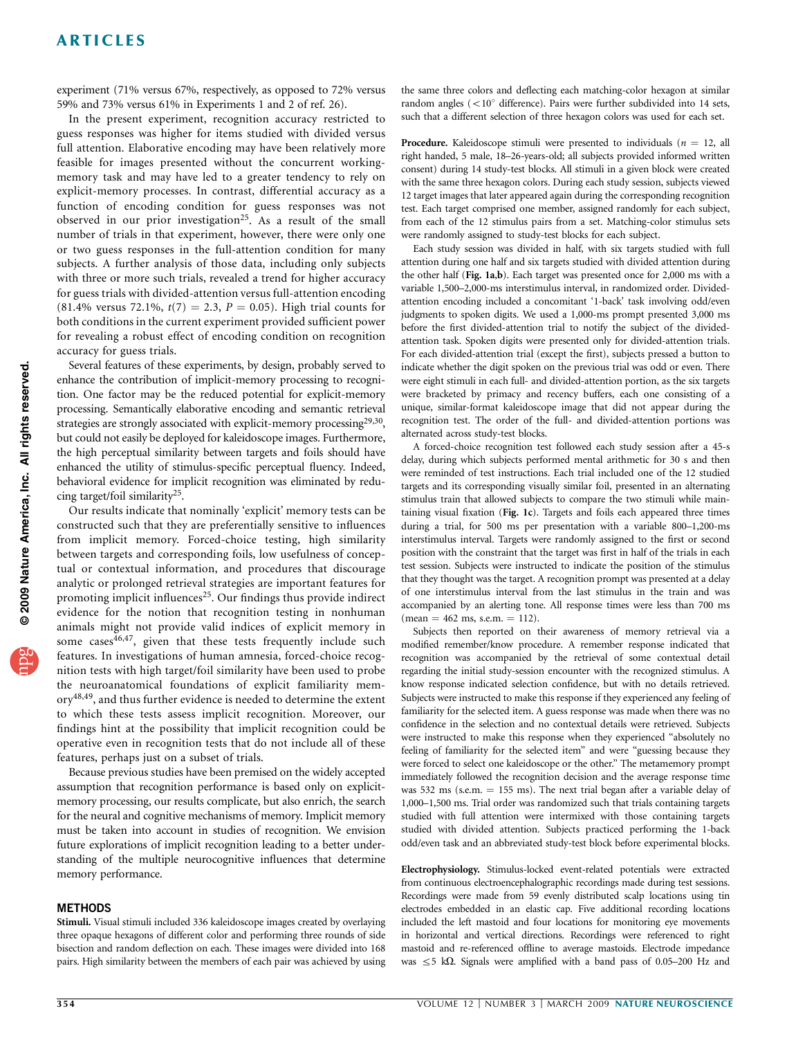experiment (71% versus 67%, respectively, as opposed to 72% versus 59% and 73% versus 61% in Experiments 1 and 2 of ref. 26).

In the present experiment, recognition accuracy restricted to guess responses was higher for items studied with divided versus full attention. Elaborative encoding may have been relatively more feasible for images presented without the concurrent workingmemory task and may have led to a greater tendency to rely on explicit-memory processes. In contrast, differential accuracy as a function of encoding condition for guess responses was not observed in our prior investigation[25.](#page-6-0) As a result of the small number of trials in that experiment, however, there were only one or two guess responses in the full-attention condition for many subjects. A further analysis of those data, including only subjects with three or more such trials, revealed a trend for higher accuracy for guess trials with divided-attention versus full-attention encoding  $(81.4\%$  versus 72.1%,  $t(7) = 2.3$ ,  $P = 0.05$ ). High trial counts for both conditions in the current experiment provided sufficient power for revealing a robust effect of encoding condition on recognition accuracy for guess trials.

Several features of these experiments, by design, probably served to enhance the contribution of implicit-memory processing to recognition. One factor may be the reduced potential for explicit-memory processing. Semantically elaborative encoding and semantic retrieval strategies are strongly associated with explicit-memory processing<sup>29,30</sup>, but could not easily be deployed for kaleidoscope images. Furthermore, the high perceptual similarity between targets and foils should have enhanced the utility of stimulus-specific perceptual fluency. Indeed, behavioral evidence for implicit recognition was eliminated by reducing target/foil similarity[25.](#page-6-0)

Our results indicate that nominally 'explicit' memory tests can be constructed such that they are preferentially sensitive to influences from implicit memory. Forced-choice testing, high similarity between targets and corresponding foils, low usefulness of conceptual or contextual information, and procedures that discourage analytic or prolonged retrieval strategies are important features for promoting implicit influences<sup>25</sup>. Our findings thus provide indirect evidence for the notion that recognition testing in nonhuman animals might not provide valid indices of explicit memory in some cases $46,47$ , given that these tests frequently include such features. In investigations of human amnesia, forced-choice recognition tests with high target/foil similarity have been used to probe the neuroanatomical foundations of explicit familiarity mem-ory<sup>[48,49](#page-6-0)</sup>, and thus further evidence is needed to determine the extent to which these tests assess implicit recognition. Moreover, our findings hint at the possibility that implicit recognition could be operative even in recognition tests that do not include all of these features, perhaps just on a subset of trials.

Because previous studies have been premised on the widely accepted assumption that recognition performance is based only on explicitmemory processing, our results complicate, but also enrich, the search for the neural and cognitive mechanisms of memory. Implicit memory must be taken into account in studies of recognition. We envision future explorations of implicit recognition leading to a better understanding of the multiple neurocognitive influences that determine memory performance.

#### METHODS

Stimuli. Visual stimuli included 336 kaleidoscope images created by overlaying three opaque hexagons of different color and performing three rounds of side bisection and random deflection on each. These images were divided into 168 pairs. High similarity between the members of each pair was achieved by using

the same three colors and deflecting each matching-color hexagon at similar random angles  $(<10°$  difference). Pairs were further subdivided into 14 sets, such that a different selection of three hexagon colors was used for each set.

**Procedure.** Kaleidoscope stimuli were presented to individuals ( $n = 12$ , all right handed, 5 male, 18–26-years-old; all subjects provided informed written consent) during 14 study-test blocks. All stimuli in a given block were created with the same three hexagon colors. During each study session, subjects viewed 12 target images that later appeared again during the corresponding recognition test. Each target comprised one member, assigned randomly for each subject, from each of the 12 stimulus pairs from a set. Matching-color stimulus sets were randomly assigned to study-test blocks for each subject.

Each study session was divided in half, with six targets studied with full attention during one half and six targets studied with divided attention during the other half (Fig. 1a,b). Each target was presented once for 2,000 ms with a variable 1,500–2,000-ms interstimulus interval, in randomized order. Dividedattention encoding included a concomitant '1-back' task involving odd/even judgments to spoken digits. We used a 1,000-ms prompt presented 3,000 ms before the first divided-attention trial to notify the subject of the dividedattention task. Spoken digits were presented only for divided-attention trials. For each divided-attention trial (except the first), subjects pressed a button to indicate whether the digit spoken on the previous trial was odd or even. There were eight stimuli in each full- and divided-attention portion, as the six targets were bracketed by primacy and recency buffers, each one consisting of a unique, similar-format kaleidoscope image that did not appear during the recognition test. The order of the full- and divided-attention portions was alternated across study-test blocks.

A forced-choice recognition test followed each study session after a 45-s delay, during which subjects performed mental arithmetic for 30 s and then were reminded of test instructions. Each trial included one of the 12 studied targets and its corresponding visually similar foil, presented in an alternating stimulus train that allowed subjects to compare the two stimuli while maintaining visual fixation (Fig. 1c). Targets and foils each appeared three times during a trial, for 500 ms per presentation with a variable 800–1,200-ms interstimulus interval. Targets were randomly assigned to the first or second position with the constraint that the target was first in half of the trials in each test session. Subjects were instructed to indicate the position of the stimulus that they thought was the target. A recognition prompt was presented at a delay of one interstimulus interval from the last stimulus in the train and was accompanied by an alerting tone. All response times were less than 700 ms  $mean = 462$  ms, s.e.m.  $= 112$ ).

Subjects then reported on their awareness of memory retrieval via a modified remember/know procedure. A remember response indicated that recognition was accompanied by the retrieval of some contextual detail regarding the initial study-session encounter with the recognized stimulus. A know response indicated selection confidence, but with no details retrieved. Subjects were instructed to make this response if they experienced any feeling of familiarity for the selected item. A guess response was made when there was no confidence in the selection and no contextual details were retrieved. Subjects were instructed to make this response when they experienced ''absolutely no feeling of familiarity for the selected item'' and were ''guessing because they were forced to select one kaleidoscope or the other.'' The metamemory prompt immediately followed the recognition decision and the average response time was 532 ms (s.e.m.  $= 155$  ms). The next trial began after a variable delay of 1,000–1,500 ms. Trial order was randomized such that trials containing targets studied with full attention were intermixed with those containing targets studied with divided attention. Subjects practiced performing the 1-back odd/even task and an abbreviated study-test block before experimental blocks.

Electrophysiology. Stimulus-locked event-related potentials were extracted from continuous electroencephalographic recordings made during test sessions. Recordings were made from 59 evenly distributed scalp locations using tin electrodes embedded in an elastic cap. Five additional recording locations included the left mastoid and four locations for monitoring eye movements in horizontal and vertical directions. Recordings were referenced to right mastoid and re-referenced offline to average mastoids. Electrode impedance was  $\leq$  5 kQ. Signals were amplified with a band pass of 0.05–200 Hz and